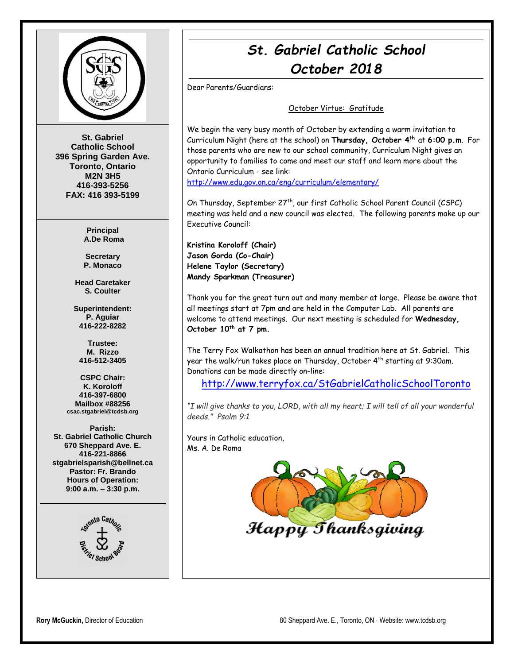

**St. Gabriel Catholic School 396 Spring Garden Ave. Toronto, Ontario M2N 3H5 416-393-5256 FAX: 416 393-5199**

> **Principal A.De Roma**

**Secretary P. Monaco**

**Head Caretaker S. Coulter**

**Superintendent: P. Aguiar 416-222-8282**

**Trustee: M. Rizzo 416-512-3405**

**CSPC Chair: K. Koroloff 416-397-6800 Mailbox #88256 csac.stgabriel@tcdsb.org**

**Parish: St. Gabriel Catholic Church 670 Sheppard Ave. E. 416-221-8866 stgabrielsparish@bellnet.ca Pastor: Fr. Brando Hours of Operation: 9:00 a.m. – 3:30 p.m.**



# *St. Gabriel Catholic School October 2018*

Dear Parents/Guardians:

October Virtue: Gratitude

We begin the very busy month of October by extending a warm invitation to Curriculum Night (here at the school) on **Thursday, October 4th** at **6:00 p.m**. For those parents who are new to our school community, Curriculum Night gives an opportunity to families to come and meet our staff and learn more about the Ontario Curriculum - see link:

<http://www.edu.gov.on.ca/eng/curriculum/elementary/>

On Thursday, September 27<sup>th</sup>, our first Catholic School Parent Council (CSPC) meeting was held and a new council was elected. The following parents make up our Executive Council:

**Kristina Koroloff (Chair) Jason Gorda (Co-Chair) Helene Taylor (Secretary) Mandy Sparkman (Treasurer)**

Thank you for the great turn out and many member at large. Please be aware that all meetings start at 7pm and are held in the Computer Lab. All parents are welcome to attend meetings. Our next meeting is scheduled for **Wednesday, October 10th at 7 pm.**

The Terry Fox Walkathon has been an annual tradition here at St. Gabriel. This year the walk/run takes place on Thursday, October 4<sup>th</sup> starting at 9:30am. Donations can be made directly on-line:

<http://www.terryfox.ca/StGabrielCatholicSchoolToronto>

*"I will give thanks to you, LORD, with all my heart; I will tell of all your wonderful deeds." Psalm 9:1* 

Yours in Catholic education, Ms. A. De Roma

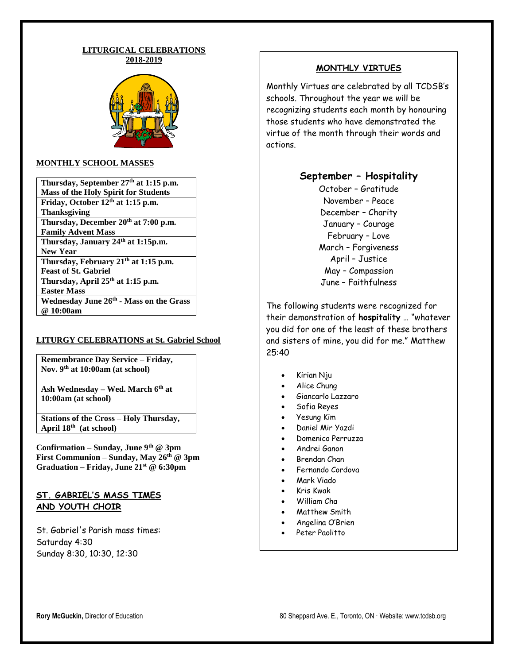#### **LITURGICAL CELEBRATIONS 2018-2019**



### **MONTHLY SCHOOL MASSES**

**Thursday, September 27 th at 1:15 p.m. Mass of the Holy Spirit for Students Friday, October 12 th at 1:15 p.m. Thanksgiving Thursday, December 20th at 7:00 p.m. Family Advent Mass Thursday, January 24th at 1:15p.m. New Year Thursday, February 21th at 1:15 p.m. Feast of St. Gabriel Thursday, April 25th at 1:15 p.m. Easter Mass Wednesday June 26 th - Mass on the Grass @ 10:00am**

### **LITURGY CELEBRATIONS at St. Gabriel School**

**Remembrance Day Service – Friday, Nov. 9th at 10:00am (at school)**

**Ash Wednesday – Wed. March 6th at 10:00am (at school)**

**Stations of the Cross – Holy Thursday, April 18th (at school)** 

**Confirmation – Sunday, June 9th @ 3pm First Communion – Sunday, May 26 th @ 3pm Graduation – Friday, June 21st @ 6:30pm** 

### **ST. GABRIEL'S MASS TIMES AND YOUTH CHOIR**

St. Gabriel's Parish mass times: Saturday 4:30 Sunday 8:30, 10:30, 12:30

### **MONTHLY VIRTUES**

Monthly Virtues are celebrated by all TCDSB's schools. Throughout the year we will be recognizing students each month by honouring those students who have demonstrated the virtue of the month through their words and actions.

# **September – Hospitality**

October – Gratitude November – Peace December – Charity January – Courage February – Love March – Forgiveness April – Justice May – Compassion June – Faithfulness

The following students were recognized for their demonstration of **hospitality** … "whatever you did for one of the least of these brothers and sisters of mine, you did for me." Matthew 25:40

- Kirian Nju
- Alice Chung
- Giancarlo Lazzaro
- Sofia Reyes
- Yesung Kim
- Daniel Mir Yazdi
- Domenico Perruzza
- Andrei Ganon
- Brendan Chan
- Fernando Cordova
- Mark Viado
- Kris Kwak
- William Cha
- Matthew Smith
- Angelina O'Brien
- Peter Paolitto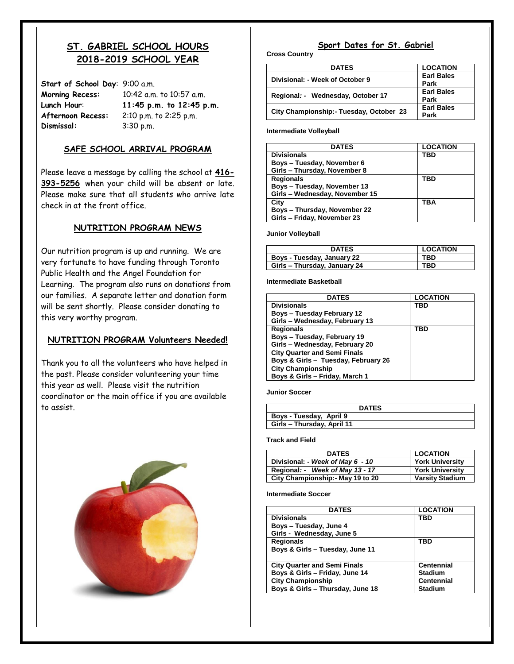# **ST. GABRIEL SCHOOL HOURS 2018-2019 SCHOOL YEAR**

**Start of School Day**: 9:00 a.m. **Morning Recess:** 10:42 a.m. to 10:57 a.m. **Lunch Hour**: **11:45 p.m. to 12:45 p.m. Afternoon Recess:** 2:10 p.m. to 2:25 p.m. **Dismissal:** 3:30 p.m.

### **SAFE SCHOOL ARRIVAL PROGRAM**

Please leave a message by calling the school at **416- 393-5256** when your child will be absent or late. Please make sure that all students who arrive late check in at the front office.

### **NUTRITION PROGRAM NEWS**

Our nutrition program is up and running. We are very fortunate to have funding through Toronto Public Health and the Angel Foundation for Learning. The program also runs on donations from our families. A separate letter and donation form will be sent shortly. Please consider donating to this very worthy program.

### **NUTRITION PROGRAM Volunteers Needed!**

Thank you to all the volunteers who have helped in the past. Please consider volunteering your time this year as well. Please visit the nutrition coordinator or the main office if you are available to assist.



### **Sport Dates for St. Gabriel**

**Cross Country**

| <b>DATES</b>                            | <b>LOCATION</b>   |
|-----------------------------------------|-------------------|
| Divisional: - Week of October 9         | <b>Earl Bales</b> |
|                                         | Park              |
| Regional: - Wednesday, October 17       | <b>Earl Bales</b> |
|                                         | Park              |
| City Championship:- Tuesday, October 23 | <b>Earl Bales</b> |
|                                         | Park              |

**Intermediate Volleyball**

| <b>DATES</b>                   | <b>LOCATION</b> |
|--------------------------------|-----------------|
| <b>Divisionals</b>             | TBD             |
| Boys - Tuesday, November 6     |                 |
| Girls - Thursday, November 8   |                 |
| <b>Regionals</b>               | TBD             |
| Boys - Tuesday, November 13    |                 |
| Girls - Wednesday, November 15 |                 |
| City                           | ТВА             |
| Boys - Thursday, November 22   |                 |
| Girls - Friday, November 23    |                 |

**Junior Volleyball**

| <b>DATES</b>                 | <b>LOCATION</b> |
|------------------------------|-----------------|
| Boys - Tuesday, January 22   | TBD             |
| Girls - Thursday, January 24 | TBD             |

**Intermediate Basketball**

| <b>DATES</b>                        | <b>LOCATION</b> |
|-------------------------------------|-----------------|
| <b>Divisionals</b>                  | <b>TBD</b>      |
| <b>Boys - Tuesday February 12</b>   |                 |
| Girls - Wednesday, February 13      |                 |
| <b>Regionals</b>                    | <b>TBD</b>      |
| Boys - Tuesday, February 19         |                 |
| Girls - Wednesday, February 20      |                 |
| <b>City Quarter and Semi Finals</b> |                 |
| Boys & Girls - Tuesday, February 26 |                 |
| <b>City Championship</b>            |                 |
| Boys & Girls - Friday, March 1      |                 |

**Junior Soccer**

|                            | <b>DATES</b> |
|----------------------------|--------------|
| Boys - Tuesday, April 9    |              |
| Girls - Thursday, April 11 |              |

**Track and Field**

| <b>DATES</b>                      | <b>LOCATION</b>        |
|-----------------------------------|------------------------|
| Divisional: - Week of May 6 - 10  | <b>York University</b> |
| Regional: - Week of May 13 - 17   | <b>York University</b> |
| City Championship: - May 19 to 20 | <b>Varsity Stadium</b> |

**Intermediate Soccer**

| <b>DATES</b>                        | <b>LOCATION</b>   |
|-------------------------------------|-------------------|
| <b>Divisionals</b>                  | TBD               |
| Boys - Tuesday, June 4              |                   |
| Girls - Wednesday, June 5           |                   |
| <b>Regionals</b>                    | TBD               |
| Boys & Girls - Tuesday, June 11     |                   |
|                                     |                   |
| <b>City Quarter and Semi Finals</b> | <b>Centennial</b> |
| Boys & Girls - Friday, June 14      | <b>Stadium</b>    |
| <b>City Championship</b>            | Centennial        |
| Boys & Girls - Thursday, June 18    | <b>Stadium</b>    |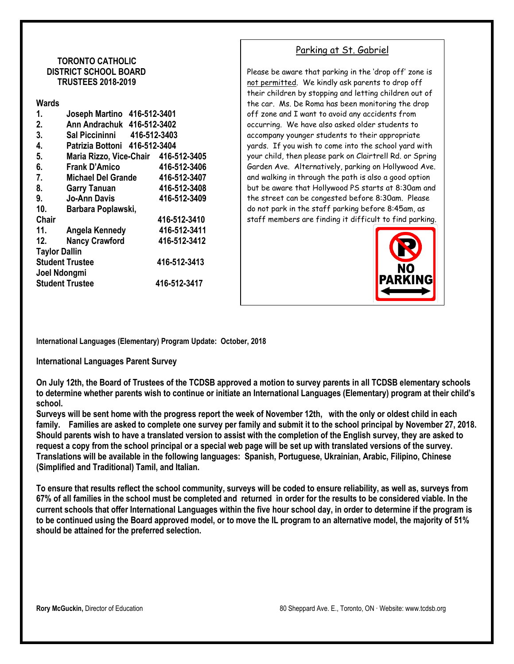## **TORONTO CATHOLIC DISTRICT SCHOOL BOARD TRUSTEES 2018-2019**

#### **Wards**

| 1.                   | Joseph Martino 416-512-3401          |              |
|----------------------|--------------------------------------|--------------|
| 2.                   | Ann Andrachuk 416-512-3402           |              |
| 3.                   | Sal Piccininni 416-512-3403          |              |
| 4.                   | Patrizia Bottoni 416-512-3404        |              |
| 5.                   | Maria Rizzo, Vice-Chair 416-512-3405 |              |
| 6.                   | <b>Frank D'Amico</b>                 | 416-512-3406 |
| 7.                   | <b>Michael Del Grande</b>            | 416-512-3407 |
| 8.                   | <b>Garry Tanuan</b>                  | 416-512-3408 |
| 9.                   | <b>Jo-Ann Davis</b>                  | 416-512-3409 |
| 10 <sub>1</sub>      | Barbara Poplawski,                   |              |
| Chair                |                                      | 416-512-3410 |
| 11.                  | Angela Kennedy                       | 416-512-3411 |
| 12.                  | <b>Nancy Crawford</b>                | 416-512-3412 |
| <b>Taylor Dallin</b> |                                      |              |
|                      | <b>Student Trustee</b>               | 416-512-3413 |
| Joel Ndongmi         |                                      |              |
|                      | <b>Student Trustee</b>               | 416-512-3417 |
|                      |                                      |              |

Parking at St. Gabriel

Please be aware that parking in the 'drop off' zone is not permitted. We kindly ask parents to drop off their children by stopping and letting children out of the car. Ms. De Roma has been monitoring the drop off zone and I want to avoid any accidents from occurring. We have also asked older students to accompany younger students to their appropriate yards. If you wish to come into the school yard with your child, then please park on Clairtrell Rd. or Spring Garden Ave. Alternatively, parking on Hollywood Ave. and walking in through the path is also a good option but be aware that Hollywood PS starts at 8:30am and the street can be congested before 8:30am. Please do not park in the staff parking before 8:45am, as staff members are finding it difficult to find parking.



**International Languages (Elementary) Program Update: October, 2018** 

**International Languages Parent Survey**

**On July 12th, the Board of Trustees of the TCDSB approved a motion to survey parents in all TCDSB elementary schools to determine whether parents wish to continue or initiate an International Languages (Elementary) program at their child's school.** 

**Surveys will be sent home with the progress report the week of November 12th, with the only or oldest child in each family. Families are asked to complete one survey per family and submit it to the school principal by November 27, 2018. Should parents wish to have a translated version to assist with the completion of the English survey, they are asked to request a copy from the school principal or a special web page will be set up with translated versions of the survey. Translations will be available in the following languages: Spanish, Portuguese, Ukrainian, Arabic, Filipino, Chinese (Simplified and Traditional) Tamil, and Italian.** 

**To ensure that results reflect the school community, surveys will be coded to ensure reliability, as well as, surveys from 67% of all families in the school must be completed and returned in order for the results to be considered viable. In the current schools that offer International Languages within the five hour school day, in order to determine if the program is to be continued using the Board approved model, or to move the IL program to an alternative model, the majority of 51% should be attained for the preferred selection.**